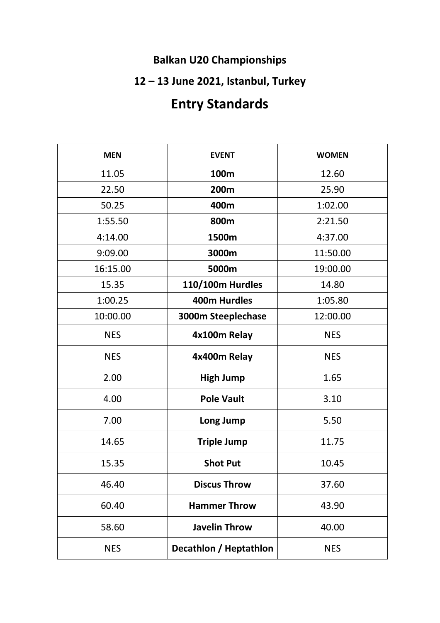### **Balkan U20 Championships**

## **12 – 13 June 2021, Istanbul, Turkey**

# **Entry Standards**

| <b>MEN</b> | <b>EVENT</b>           | <b>WOMEN</b> |
|------------|------------------------|--------------|
| 11.05      | 100m                   | 12.60        |
| 22.50      | 200m                   | 25.90        |
| 50.25      | 400m                   | 1:02.00      |
| 1:55.50    | 800m                   | 2:21.50      |
| 4:14.00    | 1500m                  | 4:37.00      |
| 9:09.00    | 3000m                  | 11:50.00     |
| 16:15.00   | 5000m                  | 19:00.00     |
| 15.35      | 110/100m Hurdles       | 14.80        |
| 1:00.25    | <b>400m Hurdles</b>    | 1:05.80      |
| 10:00.00   | 3000m Steeplechase     | 12:00.00     |
| <b>NES</b> | 4x100m Relay           | <b>NES</b>   |
| <b>NES</b> | 4x400m Relay           | <b>NES</b>   |
| 2.00       | <b>High Jump</b>       | 1.65         |
| 4.00       | <b>Pole Vault</b>      | 3.10         |
| 7.00       | Long Jump              | 5.50         |
| 14.65      | <b>Triple Jump</b>     | 11.75        |
| 15.35      | <b>Shot Put</b>        | 10.45        |
| 46.40      | <b>Discus Throw</b>    | 37.60        |
| 60.40      | <b>Hammer Throw</b>    | 43.90        |
| 58.60      | <b>Javelin Throw</b>   | 40.00        |
| <b>NES</b> | Decathlon / Heptathlon | <b>NES</b>   |